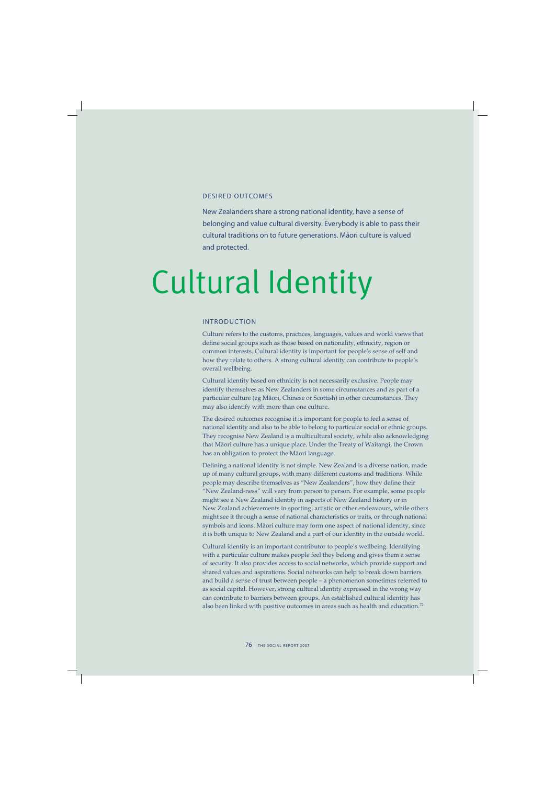### DESIRED OUTCOMES

New Zealanders share a strong national identity, have a sense of belonging and value cultural diversity. Everybody is able to pass their cultural traditions on to future generations. Māori culture is valued and protected.

# Cultural Identity

## INTRODUCTION

Culture refers to the customs, practices, languages, values and world views that define social groups such as those based on nationality, ethnicity, region or common interests. Cultural identity is important for people's sense of self and how they relate to others. A strong cultural identity can contribute to people's overall wellbeing.

Cultural identity based on ethnicity is not necessarily exclusive. People may identify themselves as New Zealanders in some circumstances and as part of a particular culture (eg Mäori, Chinese or Scottish) in other circumstances. They may also identify with more than one culture.

The desired outcomes recognise it is important for people to feel a sense of national identity and also to be able to belong to particular social or ethnic groups. They recognise New Zealand is a multicultural society, while also acknowledging that Mäori culture has a unique place. Under the Treaty of Waitangi, the Crown has an obligation to protect the Mäori language.

Defining a national identity is not simple. New Zealand is a diverse nation, made up of many cultural groups, with many different customs and traditions. While people may describe themselves as "New Zealanders", how they define their "New Zealand-ness" will vary from person to person. For example, some people might see a New Zealand identity in aspects of New Zealand history or in New Zealand achievements in sporting, artistic or other endeavours, while others might see it through a sense of national characteristics or traits, or through national symbols and icons. Mäori culture may form one aspect of national identity, since it is both unique to New Zealand and a part of our identity in the outside world.

Cultural identity is an important contributor to people's wellbeing. Identifying with a particular culture makes people feel they belong and gives them a sense of security. It also provides access to social networks, which provide support and shared values and aspirations. Social networks can help to break down barriers and build a sense of trust between people – a phenomenon sometimes referred to as social capital. However, strong cultural identity expressed in the wrong way can contribute to barriers between groups. An established cultural identity has also been linked with positive outcomes in areas such as health and education.<sup>72</sup>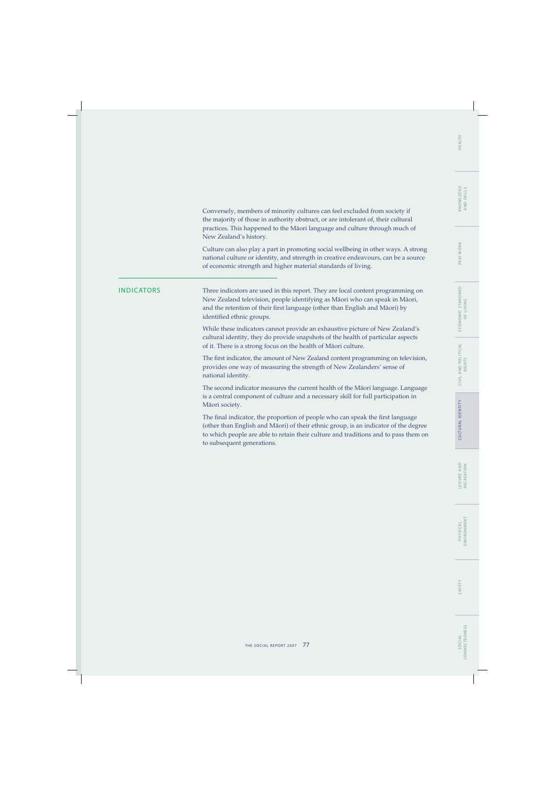Conversely, members of minority cultures can feel excluded from society if the majority of those in authority obstruct, or are intolerant of, their cultural practices. This happened to the Mäori language and culture through much of New Zealand's history.

Culture can also play a part in promoting social wellbeing in other ways. A strong national culture or identity, and strength in creative endeavours, can be a source of economic strength and higher material standards of living.

INDICATORS Three indicators are used in this report. They are local content programming on New Zealand television, people identifying as Mäori who can speak in Mäori, and the retention of their first language (other than English and Māori) by identified ethnic groups.

> While these indicators cannot provide an exhaustive picture of New Zealand's cultural identity, they do provide snapshots of the health of particular aspects of it. There is a strong focus on the health of Mäori culture.

The first indicator, the amount of New Zealand content programming on television, provides one way of measuring the strength of New Zealanders' sense of national identity.

The second indicator measures the current health of the Mäori language. Language is a central component of culture and a necessary skill for full participation in Mäori society.

The final indicator, the proportion of people who can speak the first language (other than English and Mäori) of their ethnic group, is an indicator of the degree to which people are able to retain their culture and traditions and to pass them on to subsequent generations.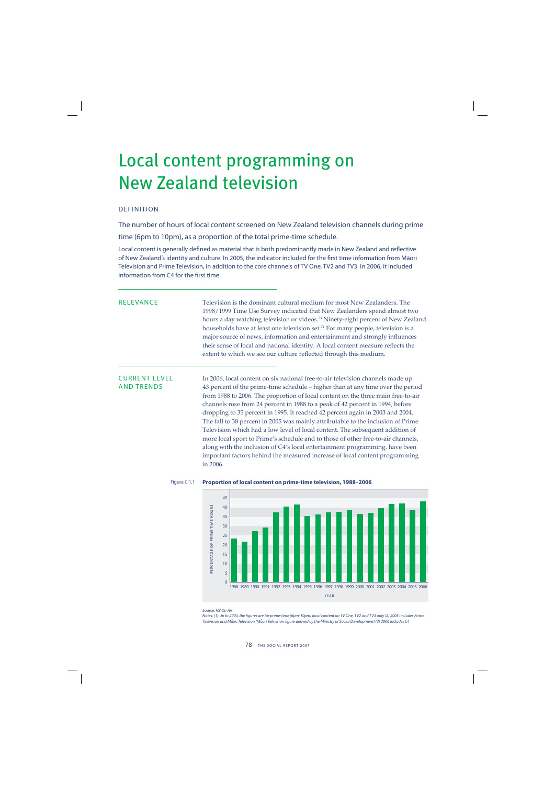## Local content programming on New Zealand television

## DEFINITION

The number of hours of local content screened on New Zealand television channels during prime time (6pm to 10pm), as a proportion of the total prime-time schedule.

Local content is generally defined as material that is both predominantly made in New Zealand and reflective of New Zealand's identity and culture. In 2005, the indicator included for the first time information from Māori Television and Prime Television, in addition to the core channels of TV One, TV2 and TV3. In 2006, it included information from C4 for the first time.

RELEVANCE Television is the dominant cultural medium for most New Zealanders. The 1998/1999 Time Use Survey indicated that New Zealanders spend almost two hours a day watching television or videos.<sup>73</sup> Ninety-eight percent of New Zealand households have at least one television set.74 For many people, television is a major source of news, information and entertainment and strongly influences their sense of local and national identity. A local content measure reflects the extent to which we see our culture reflected through this medium.

CURRENT LEVEL In 2006, local content on six national free-to-air television channels made up<br>AND TRENDS 43 percent of the prime-time schedule – higher than at any time over the per 43 percent of the prime-time schedule – higher than at any time over the period from 1988 to 2006. The proportion of local content on the three main free-to-air channels rose from 24 percent in 1988 to a peak of 42 percent in 1994, before dropping to 35 percent in 1995. It reached 42 percent again in 2003 and 2004. The fall to 38 percent in 2005 was mainly attributable to the inclusion of Prime Television which had a low level of local content. The subsequent addition of more local sport to Prime's schedule and to those of other free-to-air channels, along with the inclusion of C4's local entertainment programming, have been important factors behind the measured increase of local content programming in 2006.



### Figure CI1.1 **Proportion of local content on prime-time television, 1988–2006**

Notes: (1) Up to 2004, the figures are for prime-time (6pm-10pm) local content on TV One, TV2 and TV3 only (2) 2005 includes Prime Television and Māori Television (Māori Television figure derived by the Ministry of Social Development) (3) 2006 includes C4

Source: NZ On Air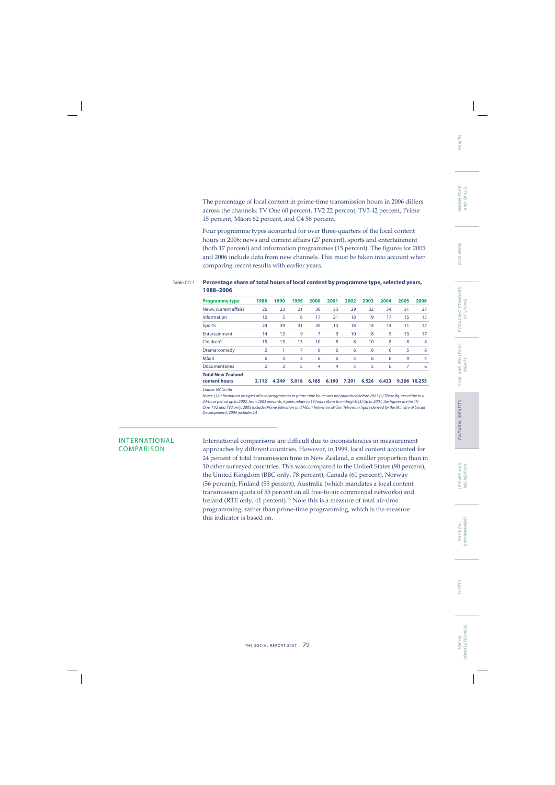The percentage of local content in prime-time transmission hours in 2006 differs across the channels: TV One 60 percent, TV2 22 percent, TV3 42 percent, Prime 15 percent, Mäori 62 percent, and C4 58 percent.

Four programme types accounted for over three-quarters of the local content hours in 2006: news and current affairs (27 percent), sports and entertainment (both 17 percent) and information programmes (15 percent). The figures for 2005 and 2006 include data from new channels. This must be taken into account when comparing recent results with earlier years.

### Table CI1.1 **Percentage share of total hours of local content by programme type, selected years, 1988–2006**

| <b>Programme type</b>    | 1988           | 1990  | 1995  | 2000           | 2001  | 2002  | 2003  | 2004  | 2005 | 2006         |
|--------------------------|----------------|-------|-------|----------------|-------|-------|-------|-------|------|--------------|
| News, current affairs    | 26             | 23    | 21    | 30             | 33    | 29    | 32    | 34    | 31   | 27           |
| Information              | 10             | 5     | 8     | 17             | 21    | 18    | 19    | 17    | 15   | 15           |
| <b>Sports</b>            | 24             | 39    | 31    | 20             | 13    | 18    | 14    | 14    | 11   | 17           |
| Entertainment            | 14             | 12    | 9     | 7              | 9     | 10    | 8     | 9     | 13   | 17           |
| Children's               | 15             | 13    | 15    | 10             | 8     | 8     | 10    | 8     | 8    | 8            |
| Drama/comedy             | $\overline{2}$ | 1     | 7     | 6              | 6     | 6     | 6     | 6     | 5    | 6            |
| Māori                    | 6              | 3     | 3     | 6              | 6     | 5     | 6     | 6     | 9    | 4            |
| <b>Documentaries</b>     | $\overline{2}$ | 3     | 5     | $\overline{4}$ | 4     | 5     | 5     | 6     | 7    | 6            |
| <b>Total New Zealand</b> |                |       |       |                |       |       |       |       |      |              |
| content hours            | 2,112          | 4,249 | 5,018 | 6,185          | 6,190 | 7.201 | 6,526 | 6,423 |      | 9,306 10,255 |
| Source: NZ On Air        |                |       |       |                |       |       |       |       |      |              |

Notes: (1) Information on types of local programmes in prime-time hours was not published before 2005 (2) These figures relate to a 24-hour period up to 2002; from 2003 onwards, figures relate to 18 hours (6am to midnight) (3) Up to 2004, the figures are for TV One, TV2 and TV3 only; 2005 includes Prime Television and Māori Television (Māori Television figure derived by the Ministry of Social Development); 2006 includes C4

INTERNATIONAL International comparisons are difficult due to inconsistencies in measurement COMPARISON approaches by different countries. However, in 1999, local content accounted for 24 percent of total transmission time in New Zealand, a smaller proportion than in 10 other surveyed countries. This was compared to the United States (90 percent), the United Kingdom (BBC only, 78 percent), Canada (60 percent), Norway (56 percent), Finland (55 percent), Australia (which mandates a local content transmission quota of 55 percent on all free-to-air commercial networks) and Ireland (RTE only, 41 percent).75 Note this is a measure of total air-time programming, rather than prime-time programming, which is the measure this indicator is based on.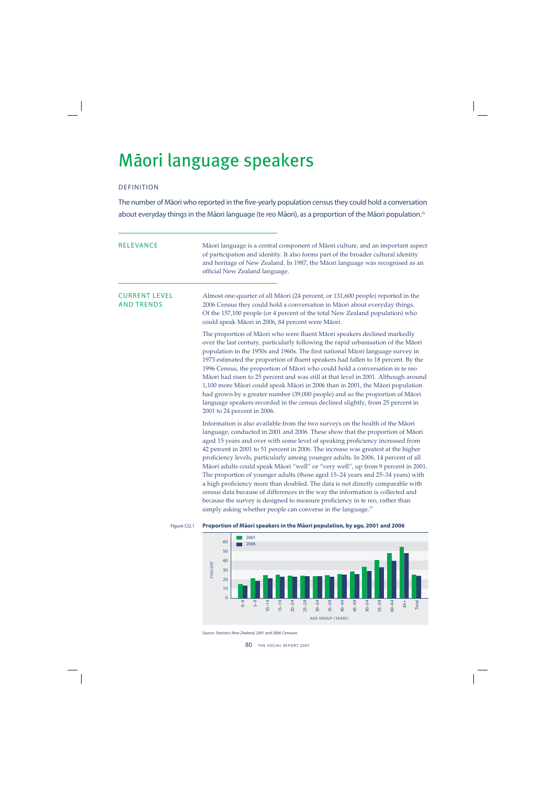# Māori language speakers

## DEFINITION

The number of Māori who reported in the five-yearly population census they could hold a conversation about everyday things in the Māori language (te reo Māori), as a proportion of the Māori population.<sup>76</sup>

| <b>RELEVANCE</b>                          |              | Māori language is a central component of Māori culture, and an important aspect<br>of participation and identity. It also forms part of the broader cultural identity<br>and heritage of New Zealand. In 1987, the Māori language was recognised as an<br>official New Zealand language.                                                                                                                                                                                                                                                                                                                                                                                                                                                                                                                                                                                                                                        |
|-------------------------------------------|--------------|---------------------------------------------------------------------------------------------------------------------------------------------------------------------------------------------------------------------------------------------------------------------------------------------------------------------------------------------------------------------------------------------------------------------------------------------------------------------------------------------------------------------------------------------------------------------------------------------------------------------------------------------------------------------------------------------------------------------------------------------------------------------------------------------------------------------------------------------------------------------------------------------------------------------------------|
| <b>CURRENT LEVEL</b><br><b>AND TRENDS</b> |              | Almost one-quarter of all Māori (24 percent, or 131,600 people) reported in the<br>2006 Census they could hold a conversation in Māori about everyday things.<br>Of the 157,100 people (or 4 percent of the total New Zealand population) who<br>could speak Māori in 2006, 84 percent were Māori.                                                                                                                                                                                                                                                                                                                                                                                                                                                                                                                                                                                                                              |
|                                           |              | The proportion of Māori who were fluent Māori speakers declined markedly<br>over the last century, particularly following the rapid urbanisation of the Māori<br>population in the 1950s and 1960s. The first national Māori language survey in<br>1973 estimated the proportion of fluent speakers had fallen to 18 percent. By the<br>1996 Census, the proportion of Māori who could hold a conversation in te reo<br>Māori had risen to 25 percent and was still at that level in 2001. Although around<br>1,100 more Māori could speak Māori in 2006 than in 2001, the Māori population<br>had grown by a greater number (39,000 people) and so the proportion of Māori<br>language speakers recorded in the census declined slightly, from 25 percent in<br>2001 to 24 percent in 2006.                                                                                                                                    |
|                                           |              | Information is also available from the two surveys on the health of the Māori<br>language, conducted in 2001 and 2006. These show that the proportion of Māori<br>aged 15 years and over with some level of speaking proficiency increased from<br>42 percent in 2001 to 51 percent in 2006. The increase was greatest at the higher<br>proficiency levels, particularly among younger adults. In 2006, 14 percent of all<br>Māori adults could speak Māori "well" or "very well", up from 9 percent in 2001.<br>The proportion of younger adults (those aged 15-24 years and 25-34 years) with<br>a high proficiency more than doubled. The data is not directly comparable with<br>census data because of differences in the way the information is collected and<br>because the survey is designed to measure proficiency in te reo, rather than<br>simply asking whether people can converse in the language. <sup>77</sup> |
|                                           | Figure Cl2.1 | Proportion of Māori speakers in the Māori population, by age, 2001 and 2006                                                                                                                                                                                                                                                                                                                                                                                                                                                                                                                                                                                                                                                                                                                                                                                                                                                     |



Source: Statistics New Zealand, 2001 and 2006 Censuses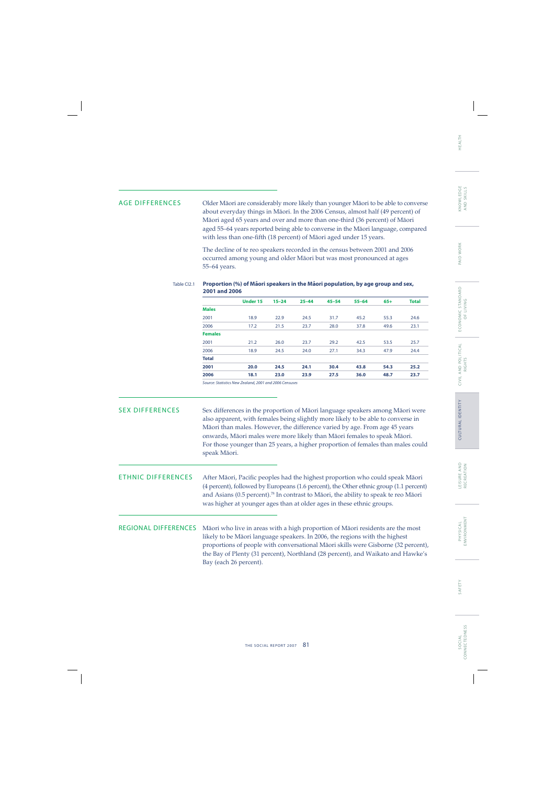## PAID WORK

ECONOMIC STANDARD E CO N O M I C S TA N DA R D OF LIVING OF LIVING

AGE DIFFERENCES Older Mäori are considerably more likely than younger Mäori to be able to converse about everyday things in Mäori. In the 2006 Census, almost half (49 percent) of Mäori aged 65 years and over and more than one-third (36 percent) of Mäori aged 55–64 years reported being able to converse in the Mäori language, compared with less than one-fifth (18 percent) of Māori aged under 15 years.

> The decline of te reo speakers recorded in the census between 2001 and 2006 occurred among young and older Mäori but was most pronounced at ages 55–64 years.

### Table CI2.1 Proportion (%) of Maori speakers in the Maori population, by age group and sex, **2001 and 2006**

|                | <b>Under 15</b> | $15 - 24$ | $25 - 44$ | $45 - 54$ | $55 - 64$ | $65+$ | <b>Total</b> |
|----------------|-----------------|-----------|-----------|-----------|-----------|-------|--------------|
| <b>Males</b>   |                 |           |           |           |           |       |              |
| 2001           | 18.9            | 22.9      | 24.5      | 31.7      | 45.2      | 55.3  | 24.6         |
| 2006           | 17.2            | 21.5      | 23.7      | 28.0      | 37.8      | 49.6  | 23.1         |
| <b>Females</b> |                 |           |           |           |           |       |              |
| 2001           | 21.2            | 26.0      | 23.7      | 29.2      | 42.5      | 53.5  | 25.7         |
| 2006           | 18.9            | 24.5      | 24.0      | 27.1      | 34.3      | 47.9  | 24.4         |
| <b>Total</b>   |                 |           |           |           |           |       |              |
| 2001           | 20.0            | 24.5      | 24.1      | 30.4      | 43.8      | 54.3  | 25.2         |
| 2006           | 18.1            | 23.0      | 23.9      | 27.5      | 36.0      | 48.7  | 23.7         |
| $\sim$         | $-1$ $-1$ $-2$  | .         |           |           |           |       |              |

Source: Statistics New Zealand, 2001 and 2006 Censuses

## SEX DIFFERENCES Sex differences in the proportion of Māori language speakers among Māori were also apparent, with females being slightly more likely to be able to converse in Mäori than males. However, the difference varied by age. From age 45 years onwards, Mäori males were more likely than Mäori females to speak Mäori. For those younger than 25 years, a higher proportion of females than males could speak Mäori.

ETHNIC DIFFERENCES After Māori, Pacific peoples had the highest proportion who could speak Māori (4 percent), followed by Europeans (1.6 percent), the Other ethnic group (1.1 percent) and Asians (0.5 percent).78 In contrast to Mäori, the ability to speak te reo Mäori was higher at younger ages than at older ages in these ethnic groups.

REGIONAL DIFFERENCES Mäori who live in areas with a high proportion of Mäori residents are the most likely to be Mäori language speakers. In 2006, the regions with the highest proportions of people with conversational Mäori skills were Gisborne (32 percent), the Bay of Plenty (31 percent), Northland (28 percent), and Waikato and Hawke's Bay (each 26 percent).

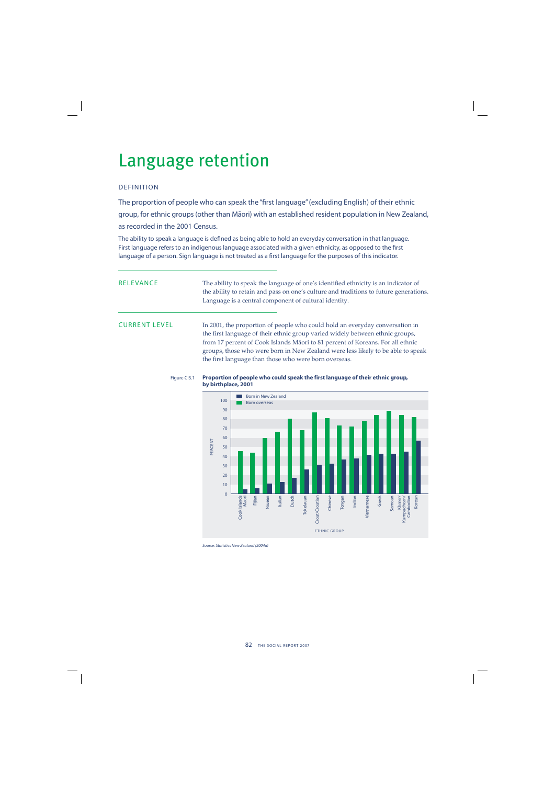## Language retention

## DEFINITION

The proportion of people who can speak the "first language" (excluding English) of their ethnic group, for ethnic groups (other than Māori) with an established resident population in New Zealand, as recorded in the 2001 Census.

The ability to speak a language is defined as being able to hold an everyday conversation in that language. First language refers to an indigenous language associated with a given ethnicity, as opposed to the first language of a person. Sign language is not treated as a first language for the purposes of this indicator.

RELEVANCE The ability to speak the language of one's identified ethnicity is an indicator of the ability to retain and pass on one's culture and traditions to future generations. Language is a central component of cultural identity.

CURRENT LEVEL In 2001, the proportion of people who could hold an everyday conversation in the first language of their ethnic group varied widely between ethnic groups, from 17 percent of Cook Islands Mäori to 81 percent of Koreans. For all ethnic groups, those who were born in New Zealand were less likely to be able to speak the first language than those who were born overseas.





Source: Statistics New Zealand (2004a)